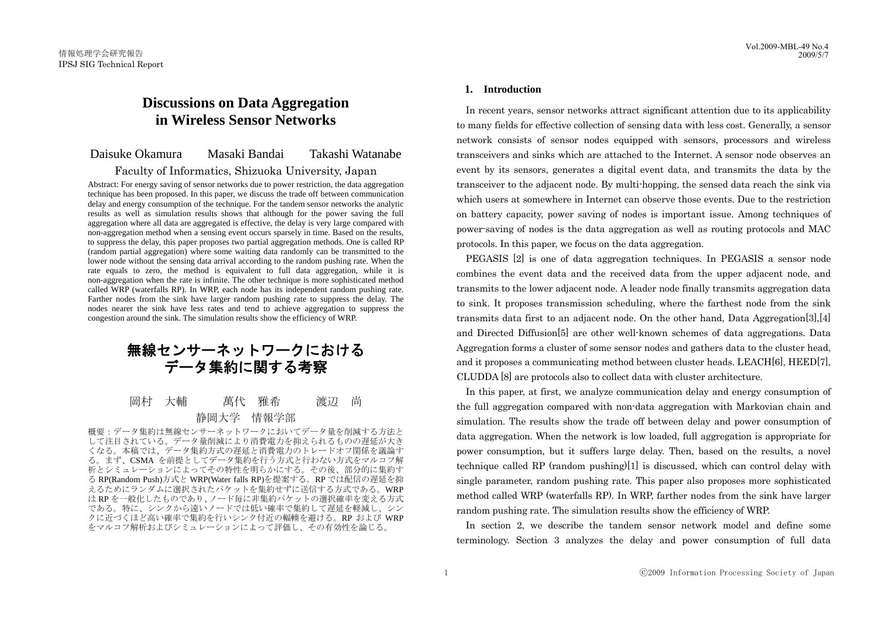# **Discussions on Data Aggregation in Wireless Sensor Networks**

# Daisuke Okamura Masaki Bandai Takashi Watanabe

# Faculty of Informatics, Shizuoka University, Japan

Abstract: For energy saving of sensor networks due to power restriction, the data aggregation technique has been proposed. In this paper, we discuss the trade off between communication delay and energy consumption of the technique. For the tandem sensor networks the analytic results as well as simulation results shows that although for the power saving the full aggregation where all data are aggregated is effective, the delay is very large compared with non-aggregation method when a sensing event occurs sparsely in time. Based on the results, to suppress the delay, this paper proposes two partial aggregation methods. One is called RP (random partial aggregation) where some waiting data randomly can be transmitted to the lower node without the sensing data arrival according to the random pushing rate. When the rate equals to zero, the method is equivalent to full data aggregation, while it is non-aggregation when the rate is infinite. The other technique is more sophisticated method called WRP (waterfalls RP). In WRP, each node has its independent random pushing rate. Farther nodes from the sink have larger random pushing rate to suppress the delay. The nodes nearer the sink have less rates and tend to achieve aggregation to suppress the congestion around the sink. The simulation results show the efficiency of WRP.

# 無線センサーネットワークにおける データ集約に関する考察

# 岡村 大輔 萬代 雅希 渡辺 尚 静岡大学 情報学部

概要:データ集約は無線センサーネットワークにおいてデータ量を削減する方法と して注目されている。データ量削減により消費電力を抑えられるものの遅延が大き くなる。本稿では、データ集約方式の遅延と消費電力のトレードオフ関係を議論す る。まず、CSMA を前提としてデータ集約を行う方式と行わない方式をマルコフ解 析とシミュレーションによってその特性を明らかにする。その後、部分的に集約す る RP(Random Push)方式と WRP(Water falls RP)を提案する。RP では配信の遅延を抑 えるためにランダムに選択されたパケットを集約せずに送信する方式である。WRP は RP を一般化したものであり、ノード毎に非集約パケットの選択確率を変える方式 である。特に、シンクから遠いノードでは低い確率で集約して遅延を軽減し、シン クに近づくほど高い確率で集約を行いシンク付近の輻輳を避ける。RP および WRP をマルコフ解析およびシミュレーションによって評価し、その有効性を論じる。

# **1. Introduction**

 In recent years, sensor networks attract significant attention due to its applicability to many fields for effective collection of sensing data with less cost. Generally, a sensor network consists of sensor nodes equipped with sensors, processors and wireless transceivers and sinks which are attached to the Internet. A sensor node observes an event by its sensors, generates a digital event data, and transmits the data by the transceiver to the adjacent node. By multi-hopping, the sensed data reach the sink via which users at somewhere in Internet can observe those events. Due to the restriction on battery capacity, power saving of nodes is important issue. Among techniques of power-saving of nodes is the data aggregation as well as routing protocols and MAC protocols. In this paper, we focus on the data aggregation.

 PEGASIS [2] is one of data aggregation techniques. In PEGASIS a sensor node combines the event data and the received data from the upper adjacent node, and transmits to the lower adjacent node. A leader node finally transmits aggregation data to sink. It proposes transmission scheduling, where the farthest node from the sink transmits data first to an adjacent node. On the other hand, Data Aggregation[3],[4] and Directed Diffusion[5] are other well-known schemes of data aggregations. Data Aggregation forms a cluster of some sensor nodes and gathers data to the cluster head, and it proposes a communicating method between cluster heads. LEACH[6], HEED[7], CLUDDA [8] are protocols also to collect data with cluster architecture.

 In this paper, at first, we analyze communication delay and energy consumption of the full aggregation compared with non-data aggregation with Markovian chain and simulation. The results show the trade off between delay and power consumption of data aggregation. When the network is low loaded, full aggregation is appropriate for power consumption, but it suffers large delay. Then, based on the results, a novel technique called RP (random pushing)[1] is discussed, which can control delay with single parameter, random pushing rate. This paper also proposes more sophisticated method called WRP (waterfalls RP). In WRP, farther nodes from the sink have larger random pushing rate. The simulation results show the efficiency of WRP.

 In section 2, we describe the tandem sensor network model and define some terminology. Section 3 analyzes the delay and power consumption of full data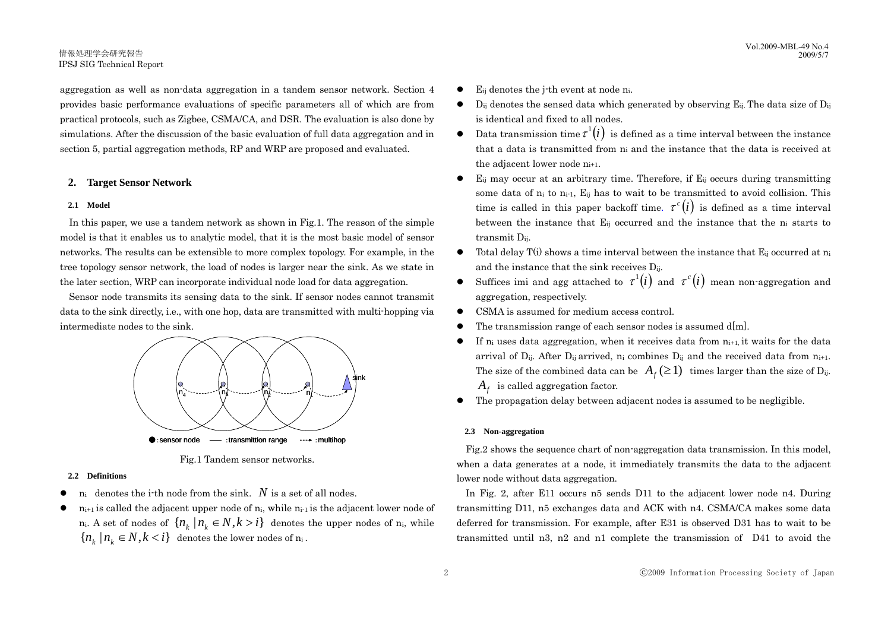aggregation as well as non-data aggregation in a tandem sensor network. Section 4 provides basic performance evaluations of specific parameters all of which are from practical protocols, such as Zigbee, CSMA/CA, and DSR. The evaluation is also done by simulations. After the discussion of the basic evaluation of full data aggregation and in section 5, partial aggregation methods, RP and WRP are proposed and evaluated.

# **2. Target Sensor Network**

### **2.1 Model**

 In this paper, we use a tandem network as shown in Fig.1. The reason of the simple model is that it enables us to analytic model, that it is the most basic model of sensor networks. The results can be extensible to more complex topology. For example, in the tree topology sensor network, the load of nodes is larger near the sink. As we state in the later section, WRP can incorporate individual node load for data aggregation.

 Sensor node transmits its sensing data to the sink. If sensor nodes cannot transmit data to the sink directly, i.e., with one hop, data are transmitted with multi-hopping via intermediate nodes to the sink.



Fig.1 Tandem sensor networks.

### **2.2 Definitions**

- $n_i$  denotes the i-th node from the sink.  $N$  is a set of all nodes.
- $n_{i+1}$  is called the adjacent upper node of  $n_i$ , while  $n_{i-1}$  is the adjacent lower node of n<sub>i</sub>. A set of nodes of  $\{n_k | n_k \in N, k > i\}$  denotes the upper nodes of n<sub>i</sub>, while  ${n_k | n_k \in N, k < i}$  denotes the lower nodes of  $n_i$ .
- E<sub>ij</sub> denotes the *i*-th event at node ni.
- $\bullet$  D<sub>ij</sub> denotes the sensed data which generated by observing E<sub>ij</sub>. The data size of D<sub>ij</sub> is identical and fixed to all nodes.
- Data transmission time  $\tau^{1}(i)$  is defined as a time interval between the instance that a data is transmitted from ni and the instance that the data is received at the adjacent lower node ni+1.
- $\bullet$  E<sub>ij</sub> may occur at an arbitrary time. Therefore, if E<sub>ij</sub> occurs during transmitting some data of  $n_i$  to  $n_{i-1}$ . E<sub>ij</sub> has to wait to be transmitted to avoid collision. This time is called in this paper backoff time.  $\tau^{c}(i)$  is defined as a time interval between the instance that  $E_{ii}$  occurred and the instance that the  $n_i$  starts to transmit Dij. Vol.2009-MBL-81 (Notices the jubb worst at node n.<br>
Vol.2009-MBL-49 No.42 (Note that a be seen that the sense d data which generated by observing E<sub>ii</sub> The data size of D<sub>1</sub> dentis also dono by is identical and fixed to a
	- $\bullet$  Total delay T(i) shows a time interval between the instance that  $E_{ii}$  occurred at n<sub>i</sub> and the instance that the sink receives  $D_{ii}$ .
	- Suffices imi and agg attached to  $\tau^1(i)$  and  $\tau^c(i)$  mean non-aggregation and aggregation, respectively.
	- CSMA is assumed for medium access control.
	- $\bullet$  The transmission range of each sensor nodes is assumed d[m].
	- $\bullet$  If n<sub>i</sub> uses data aggregation, when it receives data from  $n_{i+1}$ , it waits for the data arrival of D<sub>ij</sub>. After D<sub>ij</sub> arrived, n<sub>i</sub> combines D<sub>ij</sub> and the received data from  $n_{i+1}$ . The size of the combined data can be  $A_f(\geq 1)$  times larger than the size of D<sub>ij</sub>.  $A_f$  is called aggregation factor.
	- $\bullet$  The propagation delay between adjacent nodes is assumed to be negligible.

### **2.3 Non-aggregation**

 Fig.2 shows the sequence chart of non-aggregation data transmission. In this model, when a data generates at a node, it immediately transmits the data to the adjacent lower node without data aggregation.

 In Fig. 2, after E11 occurs n5 sends D11 to the adjacent lower node n4. During transmitting D11, n5 exchanges data and ACK with n4. CSMA/CA makes some data deferred for transmission. For example, after E31 is observed D31 has to wait to be transmitted until n3, n2 and n1 complete the transmission of D41 to avoid the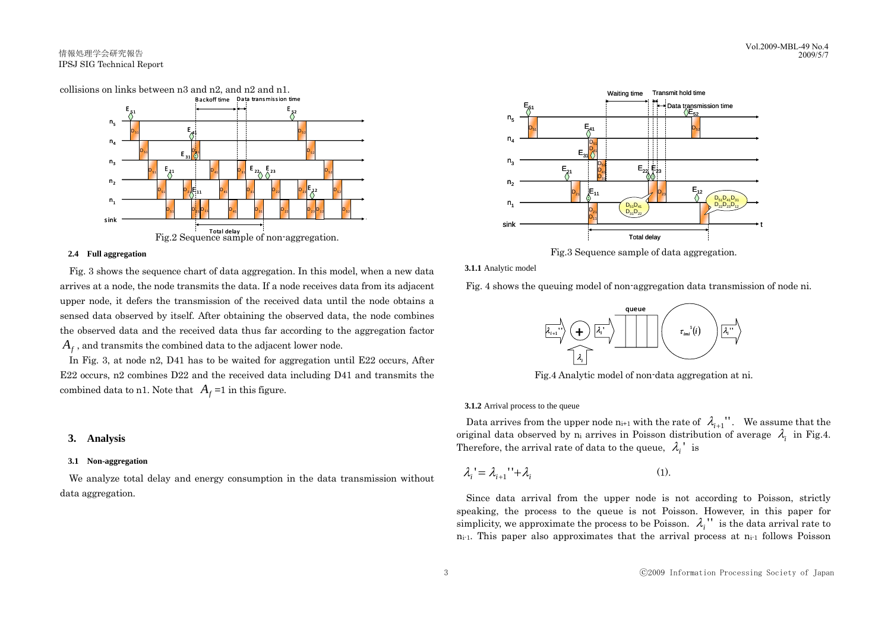

#### **2.4 Full aggregation**

 Fig. 3 shows the sequence chart of data aggregation. In this model, when a new data arrives at a node, the node transmits the data. If a node receives data from its adjacent upper node, it defers the transmission of the received data until the node obtains a sensed data observed by itself. After obtaining the observed data, the node combines the observed data and the received data thus far according to the aggregation factor  $A_f$ , and transmits the combined data to the adjacent lower node.

 In Fig. 3, at node n2, D41 has to be waited for aggregation until E22 occurs, After E22 occurs, n2 combines D22 and the received data including D41 and transmits the combined data to n1. Note that  $A_f = 1$  in this figure.

# **3. Analysis**

# **3.1 Non-aggregation**

 We analyze total delay and energy consumption in the data transmission without data aggregation.



Fig.3 Sequence sample of data aggregation.

**3.1.1** Analytic model

Fig. 4 shows the queuing model of non-aggregation data transmission of node ni.



Fig.4 Analytic model of non-data aggregation at ni.

**3.1.2** Arrival process to the queue

Data arrives from the upper node  $n_{i+1}$  with the rate of  $\lambda_{i+1}$ ". We assume that the original data observed by n<sub>i</sub> arrives in Poisson distribution of average  $\lambda_i$  in Fig.4. Therefore, the arrival rate of data to the queue,  $\lambda_i$ <sup>'</sup> is

$$
\lambda_i = \lambda_{i+1} \cdot \lambda_i \tag{1}
$$

 Since data arrival from the upper node is not according to Poisson, strictly speaking, the process to the queue is not Poisson. However, in this paper for simplicity, we approximate the process to be Poisson.  $\lambda_i$ <sup>"</sup> is the data arrival rate to  $n_{i-1}$ . This paper also approximates that the arrival process at  $n_{i-1}$  follows Poisson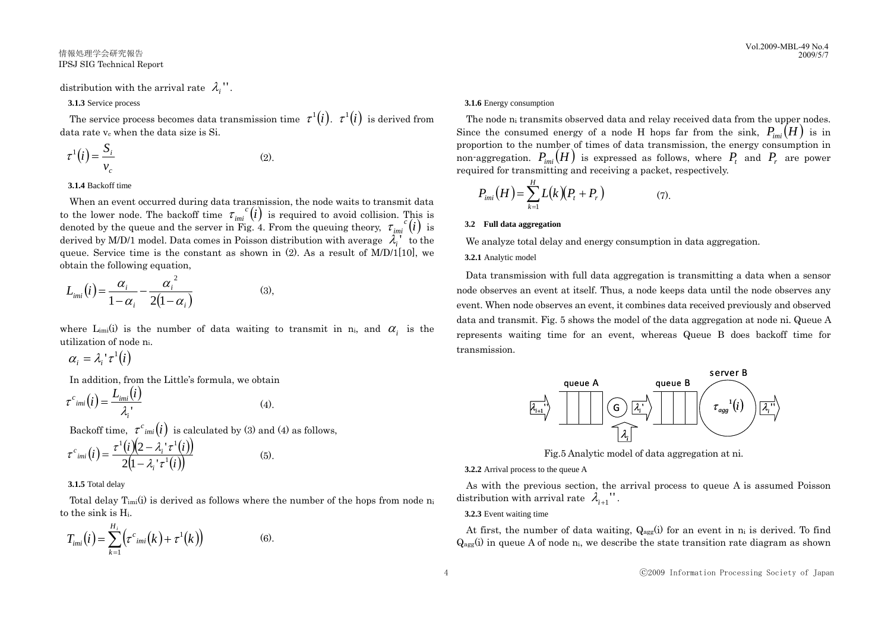# distribution with the arrival rate  $\lambda_i$ ".

#### **3.1.3** Service process

The service process becomes data transmission time  $\tau^{1}(i)$ .  $\tau^{1}(i)$  is derived from data rate v<sub>c</sub> when the data size is Si.

$$
\tau^1(i) = \frac{S_i}{v_c} \tag{2}
$$

#### **3.1.4** Backoff time

 When an event occurred during data transmission, the node waits to transmit data to the lower node. The backoff time  $\tau_{imi}^{c}(i)$  is required to avoid collision. This is denoted by the queue and the server in Fig. 4. From the queuing theory,  $\tau_{im}^{c}(i)$  is derived by M/D/1 model. Data comes in Poisson distribution with average  $\lambda_i$ <sup>t</sup> to the queue. Service time is the constant as shown in  $(2)$ . As a result of M/D/1[10], we obtain the following equation, (*i*) =  $\frac{G_1}{V_c}$ <br>
A Backoff time<br>
A backoff time<br>
A backoff time<br>
the nare vertex during data transmission, the node waits to transmit data<br>
the nare vertex crisis the server one of the backoff time<br>  $\frac{F_{\text{av}}(H)}{k}$ 

$$
L_{imi}(i) = \frac{\alpha_i}{1 - \alpha_i} - \frac{{\alpha_i}^2}{2(1 - \alpha_i)}
$$
(3),

where  $L_{imi}(i)$  is the number of data waiting to transmit in n<sub>i</sub>, and  $\alpha_i$  is the utilization of node ni.

$$
\alpha_i = \lambda_i^{\ \prime} \tau^1(i)
$$

In addition, from the Little's formula, we obtain

$$
\tau^{c_{\text{imi}}}(i) = \frac{L_{\text{imi}}(i)}{\lambda_{i}}
$$
\nBackoff time,  $\tau^{c_{\text{imi}}}(i)$  is calculated by (3) and (4) as follows,

$$
\tau^{c_{\text{imi}}}(i) = \frac{\tau^{1}(i)(2 - \lambda_{i}^{+}\tau^{1}(i))}{2(1 - \lambda_{i}^{+}\tau^{1}(i))}
$$
(5).

**3.1.5** Total delay

Total delay  $T_{imi}(i)$  is derived as follows where the number of the hops from node n to the sink is Hi.

$$
T_{imi}(i) = \sum_{k=1}^{H_i} \left( \tau^c_{imi}(k) + \tau^1(k) \right)
$$
 (6).

#### **3.1.6** Energy consumption

The node n<sub>i</sub> transmits observed data and relay received data from the upper nodes. Since the consumed energy of a node H hops far from the sink,  $P_{im}$  $(H)$  is in proportion to the number of times of data transmission, the energy consumption in non-aggregation.  $P_{\text{ini}}(H)$  is expressed as follows, where  $P_{t}$  and  $P_{r}$  are power required for transmitting and receiving a packet, respectively.

$$
P_{\text{ini}}(H) = \sum_{k=1}^{H} L(k)(P_t + P_r)
$$
 (7).

#### **3.2 Full data aggregation**

We analyze total delay and energy consumption in data aggregation.

## **3.2.1** Analytic model

 Data transmission with full data aggregation is transmitting a data when a sensor node observes an event at itself. Thus, a node keeps data until the node observes any event. When node observes an event, it combines data received previously and observed data and transmit. Fig. 5 shows the model of the data aggregation at node ni. Queue A represents waiting time for an event, whereas Queue B does backoff time for transmission.



Fig.5 Analytic model of data aggregation at ni.

**3.2.2** Arrival process to the queue A

 As with the previous section, the arrival process to queue A is assumed Poisson distribution with arrival rate  $\lambda_{i+1}$ ".

#### **3.2.3** Event waiting time

At first, the number of data waiting,  $Q_{\text{agg}}(i)$  for an event in  $n_i$  is derived. To find  $Q_{\text{agg}}(i)$  in queue A of node n<sub>i</sub>, we describe the state transition rate diagram as shown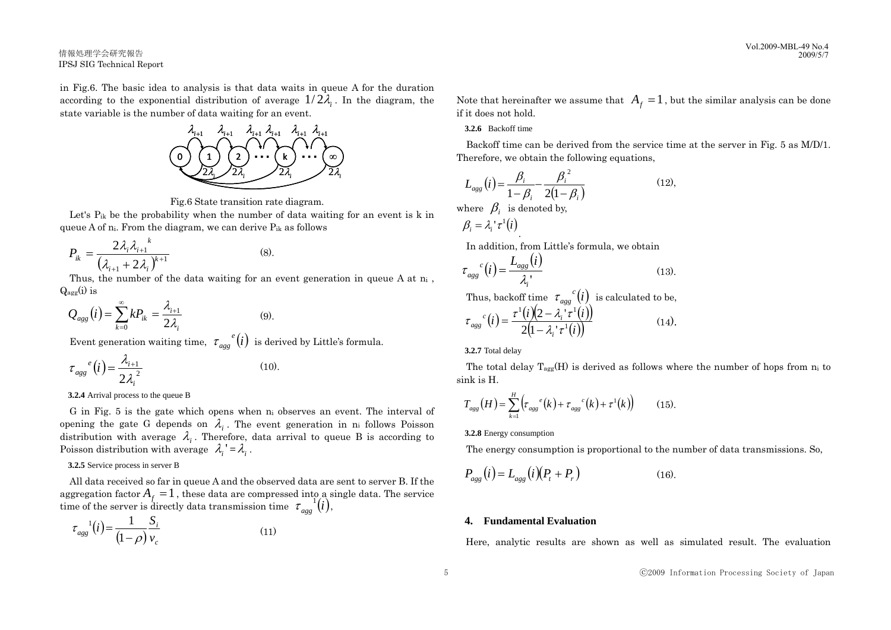in Fig.6. The basic idea to analysis is that data waits in queue A for the duration according to the exponential distribution of average  $1/2\lambda$ . In the diagram, the state variable is the number of data waiting for an event.



Fig.6 State transition rate diagram.

Let's  $P_{ik}$  be the probability when the number of data waiting for an event is k in queue A of ni. From the diagram, we can derive Pik as follows

$$
P_{ik} = \frac{2\lambda_i \lambda_{i+1}^{k}}{(\lambda_{i+1} + 2\lambda_i)^{k+1}}
$$
 (8).

Thus, the number of the data waiting for an event generation in queue A at  $n_i$ ,  $Q_{\text{agg}}(i)$  is

$$
Q_{agg}(i) = \sum_{k=0}^{\infty} k P_{ik} = \frac{\lambda_{i+1}}{2\lambda_i}
$$
 (9).

Event generation waiting time,  $\tau_{agg}^{\ e}(i)$  is derived by Little's formula.

$$
\tau_{\text{agg}}^{e}(i) = \frac{\lambda_{i+1}}{2\lambda_i^2} \tag{10}
$$

**3.2.4** Arrival process to the queue B

G in Fig. 5 is the gate which opens when  $n_i$  observes an event. The interval of opening the gate G depends on  $\lambda_i$ . The event generation in n<sub>i</sub> follows Poisson distribution with average  $\lambda_i$ . Therefore, data arrival to queue B is according to Poisson distribution with average  $\lambda_i' = \lambda_i$ .

### **3.2.5** Service process in server B

 All data received so far in queue A and the observed data are sent to server B. If the aggregation factor  $A_f = 1$ , these data are compressed into a single data. The service time of the server is directly data transmission time  $\tau_{agg}^{-1}(i)$ ,

$$
\tau_{\rm agg}^{-1}(i) = \frac{1}{(1-\rho)} \frac{S_i}{v_c} \tag{11}
$$

Note that hereinafter we assume that  $A_f = 1$ , but the similar analysis can be done if it does not hold.

**3.2.6** Backoff time

 Backoff time can be derived from the service time at the server in Fig. 5 as M/D/1. Therefore, we obtain the following equations,

$$
L_{agg}(i) = \frac{\beta_i}{1 - \beta_i} - \frac{{\beta_i}^2}{2(1 - \beta_i)}
$$
  
where  $\beta_i$  is denoted by,  
 $\beta_i = \lambda_i' \tau^1(i)$  (12).

In addition, from Little's formula, we obtain

$$
\tau_{agg}^{c}(i) = \frac{L_{agg}(i)}{\lambda_i} \tag{13}
$$

Thus, backoff time  $\tau_{\text{agg}}^{\text{c}}(t)$  is calculated to be,  $\tau_{\text{agg}}^{c}(i) = \frac{\tau^{1}(i)(2 - \lambda_{i}^{'}\tau^{1}(i))}{2(1 - \lambda_{i}^{'}\tau^{1}(i))}$  (14).  $\alpha_{agg}^{c}(i) = \frac{i}{2} \frac{(i)(2 - \lambda_i)}{(1 - 2)^i \pi^i}$  $1/\sqrt{2}$   $1/\sqrt{2}$  $2(1 - \lambda_i)$  $2 - \lambda_i$ λ' τ  $\tau^{\perp}(i)$  $(2 - \lambda)^{\perp} \tau$  $\tau_{agg}$  (*t*) =  $\frac{ }{2(1-)}$  $=\frac{\tau^{1}(i)(2-1)}{2i}$ 

*i*

**3.2.7** Total delay

The total delay  $T_{agg}(H)$  is derived as follows where the number of hops from  $n_i$  to sink is H.

$$
T_{agg}(H) = \sum_{k=1}^{H} \left( \tau_{agg}^{e}(k) + \tau_{agg}^{e}(k) + \tau^{1}(k) \right) \tag{15}.
$$

**3.2.8** Energy consumption

The energy consumption is proportional to the number of data transmissions. So,

$$
P_{\rm agg}(i) = L_{\rm agg}(i)(P_t + P_r)
$$
\n(16).

# **4. Fundamental Evaluation**

Here, analytic results are shown as well as simulated result. The evaluation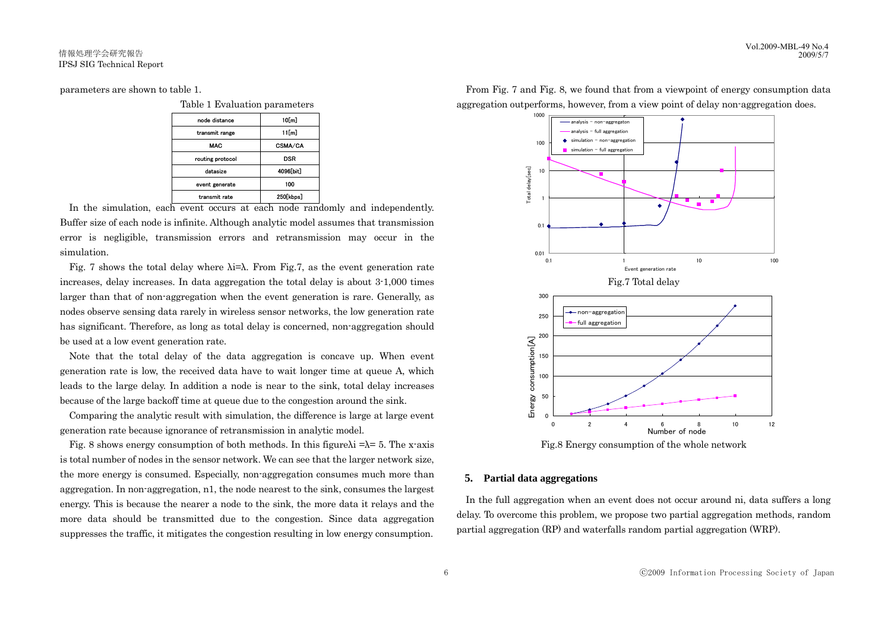parameters are shown to table 1.

Table 1 Evaluation parameters

| node distance    | 10[m]     |
|------------------|-----------|
| transmit range   | 11[m]     |
| <b>MAC</b>       | CSMA/CA   |
| routing protocol | DSR       |
| datasize         | 4096[bit] |
| event generate   | 100       |
| transmit rate    | 250[kbps] |

 In the simulation, each event occurs at each node randomly and independently. Buffer size of each node is infinite. Although analytic model assumes that transmission error is negligible, transmission errors and retransmission may occur in the simulation.

Fig. 7 shows the total delay where  $\lambda = \lambda$ . From Fig.7, as the event generation rate increases, delay increases. In data aggregation the total delay is about 3-1,000 times larger than that of non-aggregation when the event generation is rare. Generally, as nodes observe sensing data rarely in wireless sensor networks, the low generation rate has significant. Therefore, as long as total delay is concerned, non-aggregation should be used at a low event generation rate.

 Note that the total delay of the data aggregation is concave up. When event generation rate is low, the received data have to wait longer time at queue A, which leads to the large delay. In addition a node is near to the sink, total delay increases because of the large backoff time at queue due to the congestion around the sink.

 Comparing the analytic result with simulation, the difference is large at large event generation rate because ignorance of retransmission in analytic model.

Fig. 8 shows energy consumption of both methods. In this figure  $\lambda = \lambda = 5$ . The x-axis is total number of nodes in the sensor network. We can see that the larger network size, the more energy is consumed. Especially, non-aggregation consumes much more than aggregation. In non-aggregation, n1, the node nearest to the sink, consumes the largest energy. This is because the nearer a node to the sink, the more data it relays and the more data should be transmitted due to the congestion. Since data aggregation suppresses the traffic, it mitigates the congestion resulting in low energy consumption.



 From Fig. 7 and Fig. 8, we found that from a viewpoint of energy consumption data aggregation outperforms, however, from a view point of delay non-aggregation does.

# **5. Partial data aggregations**

 In the full aggregation when an event does not occur around ni, data suffers a long delay. To overcome this problem, we propose two partial aggregation methods, random partial aggregation (RP) and waterfalls random partial aggregation (WRP).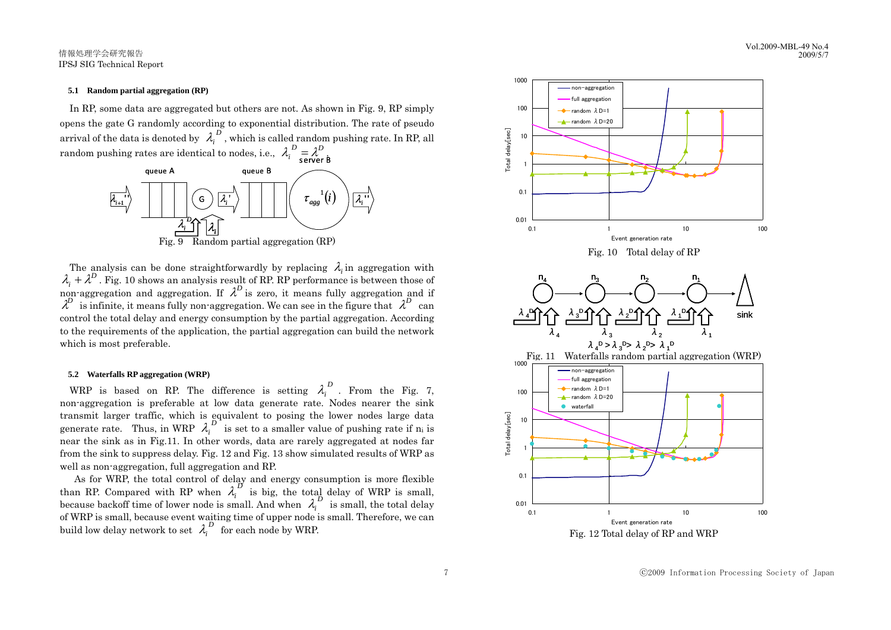#### **5.1 Random partial aggregation (RP)**

 In RP, some data are aggregated but others are not. As shown in Fig. 9, RP simply opens the gate G randomly according to exponential distribution. The rate of pseudo arrival of the data is denoted by  $\lambda_i^D$ , which is called random pushing rate. In RP, all random pushing rates are identical to nodes, i.e.,  $\mathcal{\lambda}_i^D = \mathcal{\lambda}^D \overbrace{\mathsf{server}}^\mathbf{B}$ 



The analysis can be done straightforwardly by replacing  $\lambda_i$  in aggregation with  $\lambda_i + \lambda^D$ . Fig. 10 shows an analysis result of RP. RP performance is between those of non-aggregation and aggregation. If  $\lambda^D$  is zero, it means fully aggregation and if  $\lambda^D$  is infinite, it means fully non-aggregation. We can see in the figure that  $\lambda^D$  can control the total delay and energy consumption by the partial aggregation. According to the requirements of the application, the partial aggregation can build the network which is most preferable.

#### **5.2 Waterfalls RP aggregation (WRP)**

WRP is based on RP. The difference is setting  $\lambda_i^D$ . From the Fig. 7, non-aggregation is preferable at low data generate rate. Nodes nearer the sink transmit larger traffic, which is equivalent to posing the lower nodes large data generate rate. Thus, in WRP  $\lambda_i^D$  is set to a smaller value of pushing rate if n<sub>i</sub> is near the sink as in Fig.11. In other words, data are rarely aggregated at nodes far from the sink to suppress delay. Fig. 12 and Fig. 13 show simulated results of WRP as well as non-aggregation, full aggregation and RP.

As for WRP, the total control of delay and energy consumption is more flexible than RP. Compared with RP when  $\lambda_i^D$  is big, the total delay of WRP is small, because backoff time of lower node is small. And when  $\lambda_i^D$  is small, the total delay of WRP is small, because event waiting time of upper node is small. Therefore, we can build low delay network to set  $\lambda_i^D$  for each node by WRP.